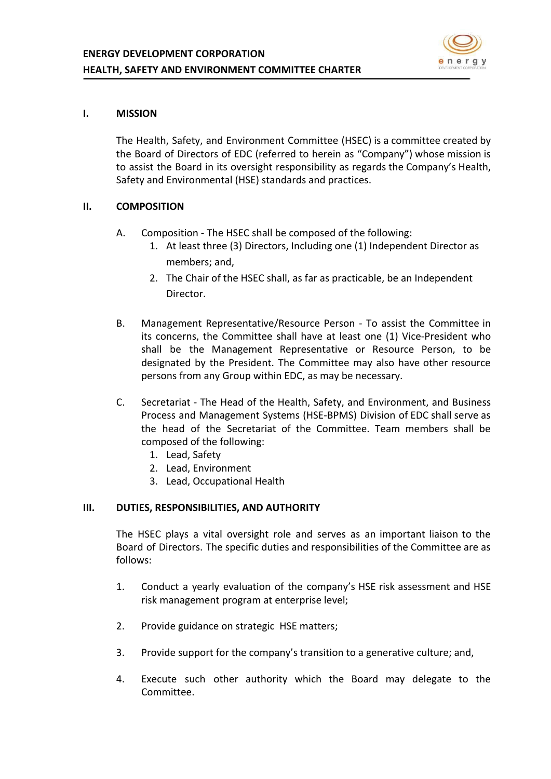

# **I. MISSION**

The Health, Safety, and Environment Committee (HSEC) is a committee created by the Board of Directors of EDC (referred to herein as "Company") whose mission is to assist the Board in its oversight responsibility as regards the Company's Health, Safety and Environmental (HSE) standards and practices.

# **II. COMPOSITION**

- A. Composition The HSEC shall be composed of the following:
	- 1. At least three (3) Directors, Including one (1) Independent Director as members; and,
	- 2. The Chair of the HSEC shall, as far as practicable, be an Independent Director.
- B. Management Representative/Resource Person To assist the Committee in its concerns, the Committee shall have at least one (1) Vice-President who shall be the Management Representative or Resource Person, to be designated by the President. The Committee may also have other resource persons from any Group within EDC, as may be necessary.
- C. Secretariat The Head of the Health, Safety, and Environment, and Business Process and Management Systems (HSE-BPMS) Division of EDC shall serve as the head of the Secretariat of the Committee. Team members shall be composed of the following:
	- 1. Lead, Safety
	- 2. Lead, Environment
	- 3. Lead, Occupational Health

### **III. DUTIES, RESPONSIBILITIES, AND AUTHORITY**

The HSEC plays a vital oversight role and serves as an important liaison to the Board of Directors. The specific duties and responsibilities of the Committee are as follows:

- 1. Conduct a yearly evaluation of the company's HSE risk assessment and HSE risk management program at enterprise level;
- 2. Provide guidance on strategic HSE matters;
- 3. Provide support for the company's transition to a generative culture; and,
- 4. Execute such other authority which the Board may delegate to the Committee.